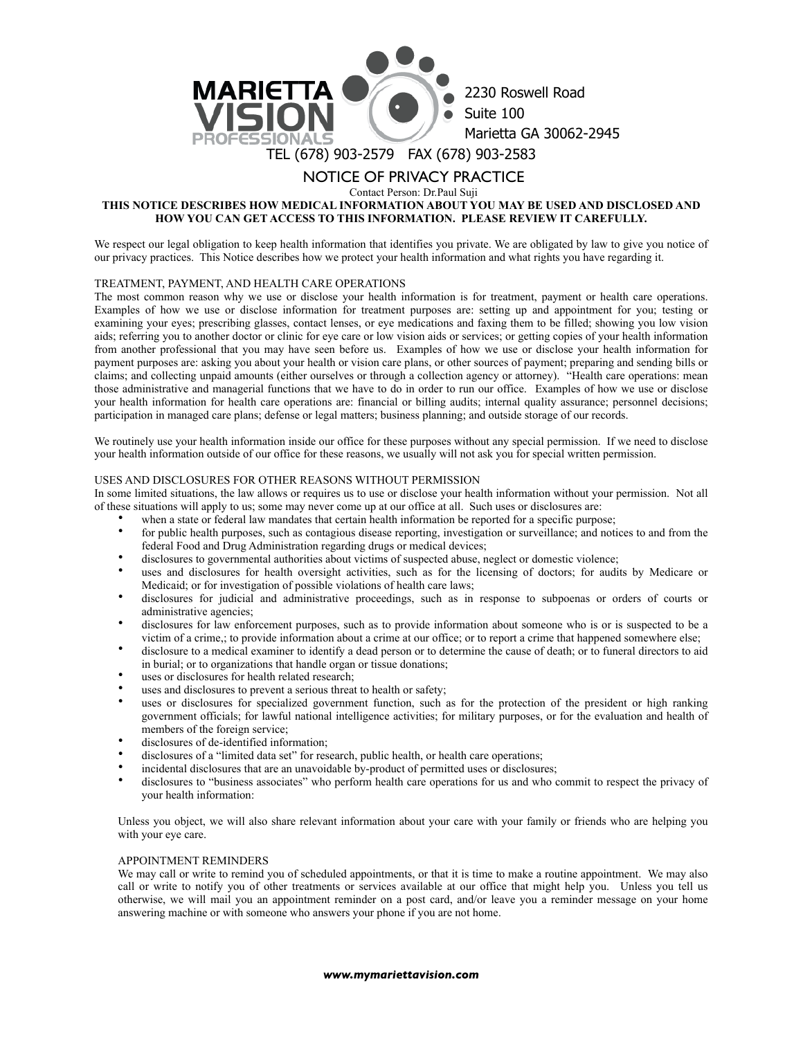

# NOTICE OF PRIVACY PRACTICE

Contact Person: Dr.Paul Suji

## **THIS NOTICE DESCRIBES HOW MEDICAL INFORMATION ABOUT YOU MAY BE USED AND DISCLOSED AND HOW YOU CAN GET ACCESS TO THIS INFORMATION. PLEASE REVIEW IT CAREFULLY.**

We respect our legal obligation to keep health information that identifies you private. We are obligated by law to give you notice of our privacy practices. This Notice describes how we protect your health information and what rights you have regarding it.

## TREATMENT, PAYMENT, AND HEALTH CARE OPERATIONS

The most common reason why we use or disclose your health information is for treatment, payment or health care operations. Examples of how we use or disclose information for treatment purposes are: setting up and appointment for you; testing or examining your eyes; prescribing glasses, contact lenses, or eye medications and faxing them to be filled; showing you low vision aids; referring you to another doctor or clinic for eye care or low vision aids or services; or getting copies of your health information from another professional that you may have seen before us. Examples of how we use or disclose your health information for payment purposes are: asking you about your health or vision care plans, or other sources of payment; preparing and sending bills or claims; and collecting unpaid amounts (either ourselves or through a collection agency or attorney). "Health care operations: mean those administrative and managerial functions that we have to do in order to run our office. Examples of how we use or disclose your health information for health care operations are: financial or billing audits; internal quality assurance; personnel decisions; participation in managed care plans; defense or legal matters; business planning; and outside storage of our records.

We routinely use your health information inside our office for these purposes without any special permission. If we need to disclose your health information outside of our office for these reasons, we usually will not ask you for special written permission.

#### USES AND DISCLOSURES FOR OTHER REASONS WITHOUT PERMISSION

In some limited situations, the law allows or requires us to use or disclose your health information without your permission. Not all of these situations will apply to us; some may never come up at our office at all. Such uses or disclosures are:

- when a state or federal law mandates that certain health information be reported for a specific purpose;
- for public health purposes, such as contagious disease reporting, investigation or surveillance; and notices to and from the federal Food and Drug Administration regarding drugs or medical devices;
- disclosures to governmental authorities about victims of suspected abuse, neglect or domestic violence;
- uses and disclosures for health oversight activities, such as for the licensing of doctors; for audits by Medicare or Medicaid; or for investigation of possible violations of health care laws;
- disclosures for judicial and administrative proceedings, such as in response to subpoenas or orders of courts or administrative agencies;
- disclosures for law enforcement purposes, such as to provide information about someone who is or is suspected to be a victim of a crime,; to provide information about a crime at our office; or to report a crime that happened somewhere else;
- disclosure to a medical examiner to identify a dead person or to determine the cause of death; or to funeral directors to aid in burial; or to organizations that handle organ or tissue donations;
- uses or disclosures for health related research;
- uses and disclosures to prevent a serious threat to health or safety;
- uses or disclosures for specialized government function, such as for the protection of the president or high ranking government officials; for lawful national intelligence activities; for military purposes, or for the evaluation and health of members of the foreign service;
- disclosures of de-identified information;
- disclosures of a "limited data set" for research, public health, or health care operations;
- incidental disclosures that are an unavoidable by-product of permitted uses or disclosures;
- disclosures to "business associates" who perform health care operations for us and who commit to respect the privacy of your health information:

Unless you object, we will also share relevant information about your care with your family or friends who are helping you with your eye care.

#### APPOINTMENT REMINDERS

We may call or write to remind you of scheduled appointments, or that it is time to make a routine appointment. We may also call or write to notify you of other treatments or services available at our office that might help you. Unless you tell us otherwise, we will mail you an appointment reminder on a post card, and/or leave you a reminder message on your home answering machine or with someone who answers your phone if you are not home.